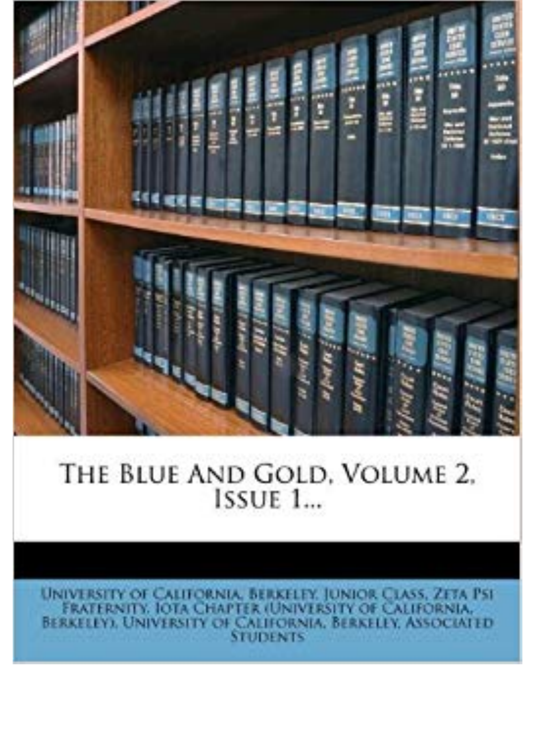

## THE BLUE AND GOLD, VOLUME 2. ISSUE 1...

UNIVERSITY OF CALIFORNIA, BERKELEY, JUNIOR CLASS, ZETA PSI **ERATERNITY. IOTA CHAPTER (UNIVERSITY OF CALIFORNIA.** BERKELEY). UNIVERSITY OF CALIFORNIA. BERKELLY, ASSOCIATED **STUDENTS**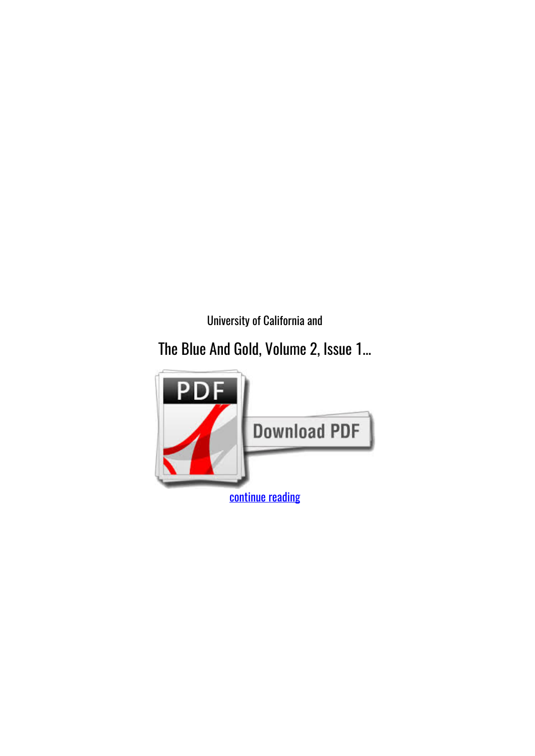*University of California and*

## **The Blue And Gold, Volume 2, Issue 1...**

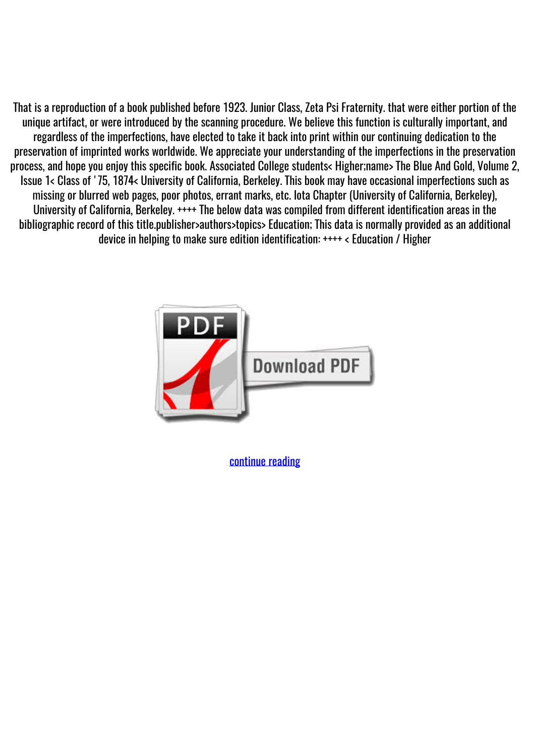That is a reproduction of a book published before 1923. Junior Class, Zeta Psi Fraternity. that were either portion of the unique artifact, or were introduced by the scanning procedure. We believe this function is culturally important, and regardless of the imperfections, have elected to take it back into print within our continuing dedication to the preservation of imprinted works worldwide. We appreciate your understanding of the imperfections in the preservation process, and hope you enjoy this specific book. Associated College students< Higher;name> The Blue And Gold, Volume 2, Issue 1< Class of '75, 1874< University of California, Berkeley. This book may have occasional imperfections such as missing or blurred web pages, poor photos, errant marks, etc. Iota Chapter (University of California, Berkeley), University of California, Berkeley. ++++ The below data was compiled from different identification areas in the bibliographic record of this title.publisher>authors>topics> Education; This data is normally provided as an additional device in helping to make sure edition identification: ++++ < Education / Higher



[continue reading](http://bit.ly/2Tge8Fv)